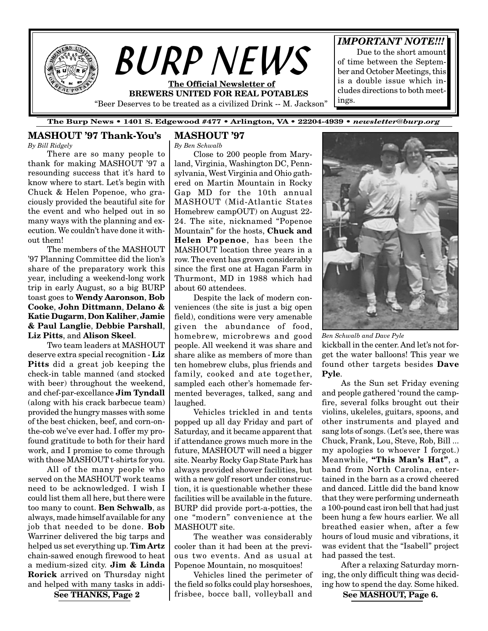

## **The Burp News • 1401 S. Edgewood #477 • Arlington, VA • 22204-4939 •** *newsletter@burp.org*

# **MASHOUT '97 Thank-You's**

*By Bill Ridgely*

There are so many people to thank for making MASHOUT '97 a resounding success that it's hard to know where to start. Let's begin with Chuck & Helen Popenoe, who graciously provided the beautiful site for the event and who helped out in so many ways with the planning and execution. We couldn't have done it without them!

The members of the MASHOUT '97 Planning Committee did the lion's share of the preparatory work this year, including a weekend-long work trip in early August, so a big BURP toast goes to **Wendy Aaronson**, **Bob Cooke**, **John Dittmann**, **Delano & Katie Dugarm**, **Don Kaliher**, **Jamie & Paul Langlie**, **Debbie Parshall**, **Liz Pitts**, and **Alison Skeel**.

Two team leaders at MASHOUT deserve extra special recognition - **Liz Pitts** did a great job keeping the check-in table manned (and stocked with beer) throughout the weekend, and chef-par-excellance **Jim Tyndall** (along with his crack barbecue team) provided the hungry masses with some of the best chicken, beef, and corn-onthe-cob we've ever had. I offer my profound gratitude to both for their hard work, and I promise to come through with those MASHOUT t-shirts for you.

All of the many people who served on the MASHOUT work teams need to be acknowledged. I wish I could list them all here, but there were too many to count. **Ben Schwalb**, as always, made himself available for any job that needed to be done. **Bob** Warriner delivered the big tarps and helped us set everything up. **Tim Artz** chain-sawed enough firewood to heat a medium-sized city. **Jim & Linda Rorick** arrived on Thursday night and helped with many tasks in addi-

## **MASHOUT '97**

*By Ben Schwalb*

Close to 200 people from Maryland, Virginia, Washington DC, Pennsylvania, West Virginia and Ohio gathered on Martin Mountain in Rocky Gap MD for the 10th annual MASHOUT (Mid-Atlantic States Homebrew campOUT) on August 22- 24. The site, nicknamed "Popenoe Mountain" for the hosts, **Chuck and Helen Popenoe**, has been the MASHOUT location three years in a row. The event has grown considerably since the first one at Hagan Farm in Thurmont, MD in 1988 which had about 60 attendees.

Despite the lack of modern conveniences (the site is just a big open field), conditions were very amenable given the abundance of food, homebrew, microbrews and good people. All weekend it was share and share alike as members of more than ten homebrew clubs, plus friends and family, cooked and ate together, sampled each other's homemade fermented beverages, talked, sang and laughed.

Vehicles trickled in and tents popped up all day Friday and part of Saturday, and it became apparent that if attendance grows much more in the future, MASHOUT will need a bigger site. Nearby Rocky Gap State Park has always provided shower facilities, but with a new golf resort under construction, it is questionable whether these facilities will be available in the future. BURP did provide port-a-potties, the one "modern" convenience at the MASHOUT site.

The weather was considerably cooler than it had been at the previous two events. And as usual at Popenoe Mountain, no mosquitoes!

Vehicles lined the perimeter of the field so folks could play horseshoes,  $\textbf{See THANKS, Page 2}$  | frisbee, bocce ball, volleyball and See MASHOUT, Page 6.



kickball in the center. And let's not forget the water balloons! This year we found other targets besides **Dave Pyle**. *Ben Schwalb and Dave Pyle*

As the Sun set Friday evening and people gathered 'round the campfire, several folks brought out their violins, ukeleles, guitars, spoons, and other instruments and played and sang lots of songs. (Let's see, there was Chuck, Frank, Lou, Steve, Rob, Bill ... my apologies to whoever I forgot.) Meanwhile, **"This Man's Hat"**, a band from North Carolina, entertained in the barn as a crowd cheered and danced. Little did the band know that they were performing underneath a 100-pound cast iron bell that had just been hung a few hours earlier. We all breathed easier when, after a few hours of loud music and vibrations, it was evident that the "Isabell" project had passed the test.

After a relaxing Saturday morning, the only difficult thing was deciding how to spend the day. Some hiked.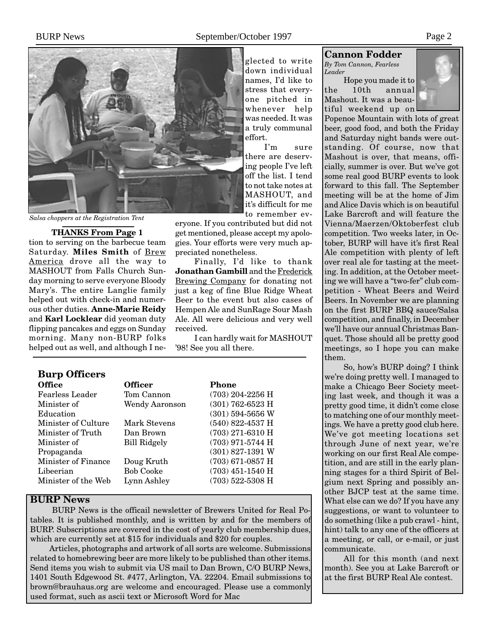effort.

eryone. If you contributed but did not get mentioned, please accept my apologies. Your efforts were very much ap-

Finally, I'd like to thank **Jonathan Gambill** and the Frederick Brewing Company for donating not just a keg of fine Blue Ridge Wheat Beer to the event but also cases of Hempen Ale and SunRage Sour Mash Ale. All were delicious and very well

I can hardly wait for MASHOUT

preciated nonetheless.

'98! See you all there.

received.

glected to write down individual names, I'd like to stress that everyone pitched in whenever help was needed. It was a truly communal

I'm sure there are deserving people I've left off the list. I tend to not take notes at MASHOUT, and it's difficult for me to remember ev-



*Salsa choppers at the Registration Tent*

**THANKS From Page 1**

tion to serving on the barbecue team Saturday. **Miles Smith** of Brew America drove all the way to MASHOUT from Falls Church Sunday morning to serve everyone Bloody Mary's. The entire Langlie family helped out with check-in and numerous other duties. **Anne-Marie Reidy** and **Karl Locklear** did yeoman duty flipping pancakes and eggs on Sunday morning. Many non-BURP folks helped out as well, and although I ne-

# **Burp Officers**

| <b>Office</b>          | <b>Officer</b>   | Phone              |
|------------------------|------------------|--------------------|
| <b>Fearless Leader</b> | Tom Cannon       | $(703)$ 204-2256 H |
| Minister of            | Wendy Aaronson   | $(301)$ 762-6523 H |
| Education              |                  | $(301)$ 594-5656 W |
| Minister of Culture    | Mark Stevens     | $(540)$ 822-4537 H |
| Minister of Truth      | Dan Brown        | $(703)$ 271-6310 H |
| Minister of            | Bill Ridgely     | $(703)$ 971-5744 H |
| Propaganda             |                  | $(301)$ 827-1391 W |
| Minister of Finance    | Doug Kruth       | $(703)$ 671-0857 H |
| Libeerian              | <b>Bob Cooke</b> | $(703)$ 451-1540 H |
| Minister of the Web    | Lynn Ashley      | $(703)$ 522-5308 H |
|                        |                  |                    |

# **BURP News**

 BURP News is the officail newsletter of Brewers United for Real Potables. It is published monthly, and is written by and for the members of BURP. Subscriptions are covered in the cost of yearly club membership dues, which are currently set at \$15 for individuals and \$20 for couples.

Articles, photographs and artwork of all sorts are welcome. Submissions related to homebrewing beer are more likely to be published than other items. Send items you wish to submit via US mail to Dan Brown, C/O BURP News, 1401 South Edgewood St. #477, Arlington, VA. 22204. Email submissions to brown@brauhaus.org are welcome and encouraged. Please use a commonly used format, such as ascii text or Microsoft Word for Mac

# **Cannon Fodder**

*By Tom Cannon, Fearless Leader*

Hope you made it to the 10th annual Mashout. It was a beautiful weekend up on



Popenoe Mountain with lots of great beer, good food, and both the Friday and Saturday night bands were outstanding. Of course, now that Mashout is over, that means, officially, summer is over. But we've got some real good BURP events to look forward to this fall. The September meeting will be at the home of Jim and Alice Davis which is on beautiful Lake Barcroft and will feature the Vienna/Maerzen/Oktoberfest club competition. Two weeks later, in October, BURP will have it's first Real Ale competition with plenty of left over real ale for tasting at the meeting. In addition, at the October meeting we will have a "two-fer" club competition - Wheat Beers and Weird Beers. In November we are planning on the first BURP BBQ sauce/Salsa competition, and finally, in December we'll have our annual Christmas Banquet. Those should all be pretty good meetings, so I hope you can make them.

So, how's BURP doing? I think we're doing pretty well. I managed to make a Chicago Beer Society meeting last week, and though it was a pretty good time, it didn't come close to matching one of our monthly meetings. We have a pretty good club here. We've got meeting locations set through June of next year, we're working on our first Real Ale competition, and are still in the early planning stages for a third Spirit of Belgium next Spring and possibly another BJCP test at the same time. What else can we do? If you have any suggestions, or want to volunteer to do something (like a pub crawl - hint, hint) talk to any one of the officers at a meeting, or call, or e-mail, or just communicate.

All for this month (and next month). See you at Lake Barcroft or at the first BURP Real Ale contest.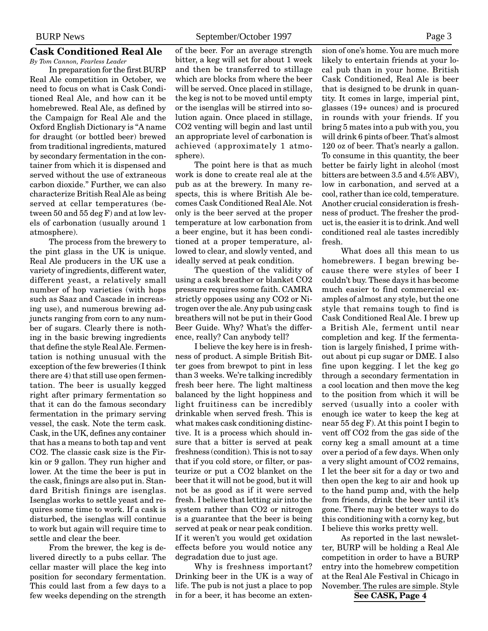#### **Cask Conditioned Real Ale** *By Tom Cannon, Fearless Leader*

In preparation for the first BURP Real Ale competition in October, we need to focus on what is Cask Conditioned Real Ale, and how can it be homebrewed. Real Ale, as defined by the Campaign for Real Ale and the Oxford English Dictionary is "A name for draught (or bottled beer) brewed from traditional ingredients, matured by secondary fermentation in the container from which it is dispensed and served without the use of extraneous carbon dioxide." Further, we can also characterize British Real Ale as being served at cellar temperatures (between 50 and 55 deg F) and at low levels of carbonation (usually around 1 atmosphere).

The process from the brewery to the pint glass in the UK is unique. Real Ale producers in the UK use a variety of ingredients, different water, different yeast, a relatively small number of hop varieties (with hops such as Saaz and Cascade in increasing use), and numerous brewing adjuncts ranging from corn to any number of sugars. Clearly there is nothing in the basic brewing ingredients that define the style Real Ale. Fermentation is nothing unusual with the exception of the few breweries (I think there are 4) that still use open fermentation. The beer is usually kegged right after primary fermentation so that it can do the famous secondary fermentation in the primary serving vessel, the cask. Note the term cask. Cask, in the UK, defines any container that has a means to both tap and vent CO2. The classic cask size is the Firkin or 9 gallon. They run higher and lower. At the time the beer is put in the cask, finings are also put in. Standard British finings are isenglas. Isenglas works to settle yeast and requires some time to work. If a cask is disturbed, the isenglas will continue to work but again will require time to settle and clear the beer.

From the brewer, the keg is delivered directly to a pubs cellar. The cellar master will place the keg into position for secondary fermentation. This could last from a few days to a few weeks depending on the strength of the beer. For an average strength bitter, a keg will set for about 1 week and then be transferred to stillage which are blocks from where the beer will be served. Once placed in stillage, the keg is not to be moved until empty or the isenglas will be stirred into solution again. Once placed in stillage, CO2 venting will begin and last until an appropriate level of carbonation is achieved (approximately 1 atmosphere).

The point here is that as much work is done to create real ale at the pub as at the brewery. In many respects, this is where British Ale becomes Cask Conditioned Real Ale. Not only is the beer served at the proper temperature at low carbonation from a beer engine, but it has been conditioned at a proper temperature, allowed to clear, and slowly vented, and ideally served at peak condition.

The question of the validity of using a cask breather or blanket CO2 pressure requires some faith. CAMRA strictly opposes using any CO2 or Nitrogen over the ale. Any pub using cask breathers will not be put in their Good Beer Guide. Why? What's the difference, really? Can anybody tell?

I believe the key here is in freshness of product. A simple British Bitter goes from brewpot to pint in less than 3 weeks. We're talking incredibly fresh beer here. The light maltiness balanced by the light hoppiness and light fruitiness can be incredibly drinkable when served fresh. This is what makes cask conditioning distinctive. It is a process which should insure that a bitter is served at peak freshness (condition). This is not to say that if you cold store, or filter, or pasteurize or put a CO2 blanket on the beer that it will not be good, but it will not be as good as if it were served fresh. I believe that letting air into the system rather than CO2 or nitrogen is a guarantee that the beer is being served at peak or near peak condition. If it weren't you would get oxidation effects before you would notice any degradation due to just age.

Why is freshness important? Drinking beer in the UK is a way of life. The pub is not just a place to pop in for a beer, it has become an extension of one's home. You are much more likely to entertain friends at your local pub than in your home. British Cask Conditioned, Real Ale is beer that is designed to be drunk in quantity. It comes in large, imperial pint, glasses (19+ ounces) and is procured in rounds with your friends. If you bring 5 mates into a pub with you, you will drink 6 pints of beer. That's almost 120 oz of beer. That's nearly a gallon. To consume in this quantity, the beer better be fairly light in alcohol (most bitters are between 3.5 and 4.5% ABV), low in carbonation, and served at a cool, rather than ice cold, temperature. Another crucial consideration is freshness of product. The fresher the product is, the easier it is to drink. And well conditioned real ale tastes incredibly fresh.

What does all this mean to us homebrewers. I began brewing because there were styles of beer I couldn't buy. These days it has become much easier to find commercial examples of almost any style, but the one style that remains tough to find is Cask Conditioned Real Ale. I brew up a British Ale, ferment until near completion and keg. If the fermentation is largely finished, I prime without about pi cup sugar or DME. I also fine upon kegging. I let the keg go through a secondary fermentation in a cool location and then move the keg to the position from which it will be served (usually into a cooler with enough ice water to keep the keg at near 55 deg F). At this point I begin to vent off CO2 from the gas side of the corny keg a small amount at a time over a period of a few days. When only a very slight amount of CO2 remains, I let the beer sit for a day or two and then open the keg to air and hook up to the hand pump and, with the help from friends, drink the beer until it's gone. There may be better ways to do this conditioning with a corny keg, but I believe this works pretty well.

As reported in the last newsletter, BURP will be holding a Real Ale competition in order to have a BURP entry into the homebrew competition at the Real Ale Festival in Chicago in November. The rules are simple. Style

**See CASK, Page 4**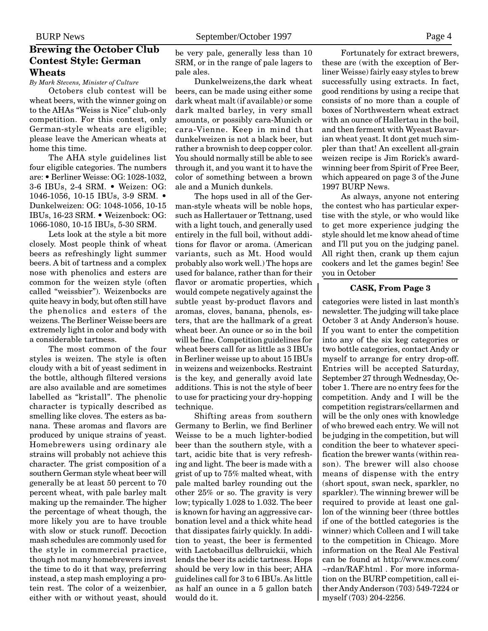# **Brewing the October Club Contest Style: German Wheats**

*By Mark Stevens, Minister of Culture*

Octobers club contest will be wheat beers, with the winner going on to the AHAs "Weiss is Nice" club-only competition. For this contest, only German-style wheats are eligible; please leave the American wheats at home this time.

The AHA style guidelines list four eligible categories. The numbers are: • Berliner Weisse: OG: 1028-1032, 3-6 IBUs, 2-4 SRM. • Weizen: OG: 1046-1056, 10-15 IBUs, 3-9 SRM. • Dunkelweizen: OG: 1048-1056, 10-15 IBUs, 16-23 SRM. • Weizenbock: OG: 1066-1080, 10-15 IBUs, 5-30 SRM.

Lets look at the style a bit more closely. Most people think of wheat beers as refreshingly light summer beers. A bit of tartness and a complex nose with phenolics and esters are common for the weizen style (often called "weissbier"). Weizenbocks are quite heavy in body, but often still have the phenolics and esters of the weizens. The Berliner Weisse beers are extremely light in color and body with a considerable tartness.

The most common of the four styles is weizen. The style is often cloudy with a bit of yeast sediment in the bottle, although filtered versions are also available and are sometimes labelled as "kristall". The phenolic character is typically described as smelling like cloves. The esters as banana. These aromas and flavors are produced by unique strains of yeast. Homebrewers using ordinary ale strains will probably not achieve this character. The grist composition of a southern German style wheat beer will generally be at least 50 percent to 70 percent wheat, with pale barley malt making up the remainder. The higher the percentage of wheat though, the more likely you are to have trouble with slow or stuck runoff. Decoction mash schedules are commonly used for the style in commercial practice, though not many homebrewers invest the time to do it that way, preferring instead, a step mash employing a protein rest. The color of a weizenbier, either with or without yeast, should be very pale, generally less than 10 SRM, or in the range of pale lagers to pale ales.

Dunkelweizens,the dark wheat beers, can be made using either some dark wheat malt (if available) or some dark malted barley, in very small amounts, or possibly cara-Munich or cara-Vienne. Keep in mind that dunkelweizen is not a black beer, but rather a brownish to deep copper color. You should normally still be able to see through it, and you want it to have the color of something between a brown ale and a Munich dunkels.

The hops used in all of the German-style wheats will be noble hops, such as Hallertauer or Tettnang, used with a light touch, and generally used entirely in the full boil, without additions for flavor or aroma. (American variants, such as Mt. Hood would probably also work well.) The hops are used for balance, rather than for their flavor or aromatic properties, which would compete negatively against the subtle yeast by-product flavors and aromas, cloves, banana, phenols, esters, that are the hallmark of a great wheat beer. An ounce or so in the boil will be fine. Competition guidelines for wheat beers call for as little as 3 IBUs in Berliner weisse up to about 15 IBUs in weizens and weizenbocks. Restraint is the key, and generally avoid late additions. This is not the style of beer to use for practicing your dry-hopping technique.

Shifting areas from southern Germany to Berlin, we find Berliner Weisse to be a much lighter-bodied beer than the southern style, with a tart, acidic bite that is very refreshing and light. The beer is made with a grist of up to 75% malted wheat, with pale malted barley rounding out the other 25% or so. The gravity is very low; typically 1.028 to 1.032. The beer is known for having an aggressive carbonation level and a thick white head that dissipates fairly quickly. In addition to yeast, the beer is fermented with Lactobacillus delbruickii, which lends the beer its acidic tartness. Hops should be very low in this beer; AHA guidelines call for 3 to 6 IBUs. As little as half an ounce in a 5 gallon batch would do it.

Fortunately for extract brewers, these are (with the exception of Berliner Weisse) fairly easy styles to brew successfully using extracts. In fact, good renditions by using a recipe that consists of no more than a couple of boxes of Northwestern wheat extract with an ounce of Hallertau in the boil, and then ferment with Wyeast Bavarian wheat yeast. It dont get much simpler than that! An excellent all-grain weizen recipe is Jim Rorick's awardwinning beer from Spirit of Free Beer, which appeared on page 3 of the June 1997 BURP News.

As always, anyone not entering the contest who has particular expertise with the style, or who would like to get more experience judging the style should let me know ahead of time and I'll put you on the judging panel. All right then, crank up them cajun cookers and let the games begin! See you in October

#### **CASK, From Page 3**

categories were listed in last month's newsletter. The judging will take place October 3 at Andy Anderson's house. If you want to enter the competition into any of the six keg categories or two bottle categories, contact Andy or myself to arrange for entry drop-off. Entries will be accepted Saturday, September 27 through Wednesday, October 1. There are no entry fees for the competition. Andy and I will be the competition registrars/cellarmen and will be the only ones with knowledge of who brewed each entry. We will not be judging in the competition, but will condition the beer to whatever specification the brewer wants (within reason). The brewer will also choose means of dispense with the entry (short spout, swan neck, sparkler, no sparkler). The winning brewer will be required to provide at least one gallon of the winning beer (three bottles if one of the bottled categories is the winner) which Colleen and I will take to the competition in Chicago. More information on the Real Ale Festival can be found at http://www.mcs.com/ ~rdan/RAF.html . For more information on the BURP competition, call either Andy Anderson (703) 549-7224 or myself (703) 204-2256.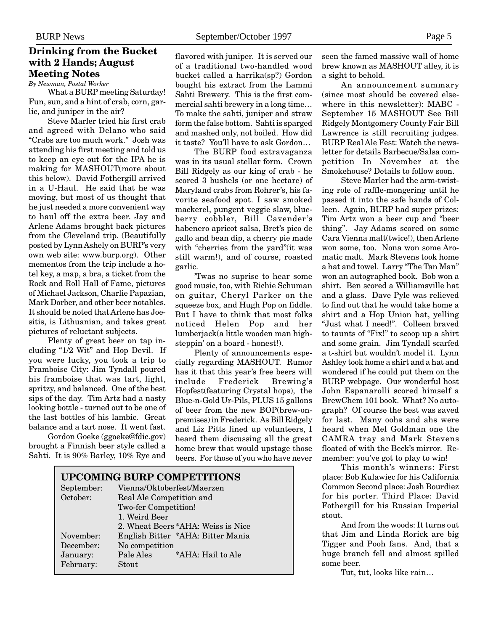# **Drinking from the Bucket with 2 Hands; August Meeting Notes**

*By Newman, Postal Worker*

What a BURP meeting Saturday! Fun, sun, and a hint of crab, corn, garlic, and juniper in the air?

Steve Marler tried his first crab and agreed with Delano who said "Crabs are too much work." Josh was attending his first meeting and told us to keep an eye out for the IPA he is making for MASHOUT(more about this below). David Fothergill arrived in a U-Haul. He said that he was moving, but most of us thought that he just needed a more convenient way to haul off the extra beer. Jay and Arlene Adams brought back pictures from the Cleveland trip. (Beautifully posted by Lynn Ashely on BURP's very own web site: www.burp.org). Other mementos from the trip include a hotel key, a map, a bra, a ticket from the Rock and Roll Hall of Fame, pictures of Michael Jackson, Charlie Papazian, Mark Dorber, and other beer notables. It should be noted that Arlene has Joesitis, is Lithuanian, and takes great pictures of reluctant subjects.

Plenty of great beer on tap including "1/2 Wit" and Hop Devil. If you were lucky, you took a trip to Framboise City: Jim Tyndall poured his framboise that was tart, light, spritzy, and balanced. One of the best sips of the day. Tim Artz had a nasty looking bottle - turned out to be one of the last bottles of his lambic. Great balance and a tart nose. It went fast.

Gordon Goeke (ggoeke@fdic.gov) brought a Finnish beer style called a Sahti. It is 90% Barley, 10% Rye and

flavored with juniper. It is served our of a traditional two-handled wood bucket called a harrika(sp?) Gordon bought his extract from the Lammi Sahti Brewery. This is the first commercial sahti brewery in a long time… To make the sahti, juniper and straw form the false bottom. Sahti is sparged and mashed only, not boiled. How did it taste? You'll have to ask Gordon…

The BURP food extravaganza was in its usual stellar form. Crown Bill Ridgely as our king of crab - he scored 3 bushels (or one hectare) of Maryland crabs from Rohrer's, his favorite seafood spot. I saw smoked mackerel, pungent veggie slaw, blueberry cobbler, Bill Cavender's habenero apricot salsa, Bret's pico de gallo and bean dip, a cherry pie made with "cherries from the yard"(it was still warm!), and of course, roasted garlic.

'Twas no suprise to hear some good music, too, with Richie Schuman on guitar, Cheryl Parker on the squeeze box, and Hugh Pop on fiddle. But I have to think that most folks noticed Helen Pop and her lumberjack(a little wooden man highsteppin' on a board - honest!).

Plenty of announcements especially regarding MASHOUT. Rumor has it that this year's free beers will include Frederick Brewing's Hopfest(featuring Crystal hops), the Blue-n-Gold Ur-Pils, PLUS 15 gallons of beer from the new BOP(brew-onpremises) in Frederick. As Bill Ridgely and Liz Pitts lined up volunteers, I heard them discussing all the great home brew that would upstage those beers. For those of you who have never

| <b>UPCOMING BURP COMPETITIONS</b> |                                    |  |  |
|-----------------------------------|------------------------------------|--|--|
| September:                        | Vienna/Oktoberfest/Maerzen         |  |  |
| October:                          | Real Ale Competition and           |  |  |
|                                   | Two-fer Competition!               |  |  |
|                                   | 1. Weird Beer                      |  |  |
|                                   | 2. Wheat Beers *AHA: Weiss is Nice |  |  |
| November:                         | English Bitter *AHA: Bitter Mania  |  |  |
| December:                         | No competition                     |  |  |
| January:                          | Pale Ales<br>*AHA: Hail to Ale     |  |  |
| February:                         | Stout                              |  |  |

seen the famed massive wall of home brew known as MASHOUT alley, it is a sight to behold.

An announcement summary (since most should be covered elsewhere in this newsletter): MABC - September 15 MASHOUT See Bill Ridgely Montgomery County Fair Bill Lawrence is still recruiting judges. BURP Real Ale Fest: Watch the newsletter for details Barbecue/Salsa competition In November at the Smokehouse? Details to follow soon.

Steve Marler had the arm-twisting role of raffle-mongering until he passed it into the safe hands of Colleen. Again, BURP had super prizes: Tim Artz won a beer cup and "beer thing". Jay Adams scored on some Cara Vienna malt(twice!), then Arlene won some, too. Nona won some Aromatic malt. Mark Stevens took home a hat and towel. Larry "The Tan Man" won an autographed book. Bob won a shirt. Ben scored a Williamsville hat and a glass. Dave Pyle was relieved to find out that he would take home a shirt and a Hop Union hat, yelling "Just what I need!". Colleen braved to taunts of "Fix!" to scoop up a shirt and some grain. Jim Tyndall scarfed a t-shirt but wouldn't model it. Lynn Ashley took home a shirt and a hat and wondered if he could put them on the BURP webpage. Our wonderful host John Espanarolli scored himself a BrewChem 101 book. What? No autograph? Of course the best was saved for last. Many oohs and ahs were heard when Mel Goldman one the CAMRA tray and Mark Stevens floated of with the Beck's mirror. Remember: you've got to play to win!

This month's winners: First place: Bob Kulawiec for his California Common Second place: Josh Bourdiez for his porter. Third Place: David Fothergill for his Russian Imperial stout.

And from the woods: It turns out that Jim and Linda Rorick are big Tigger and Pooh fans. And, that a huge branch fell and almost spilled some beer.

Tut, tut, looks like rain…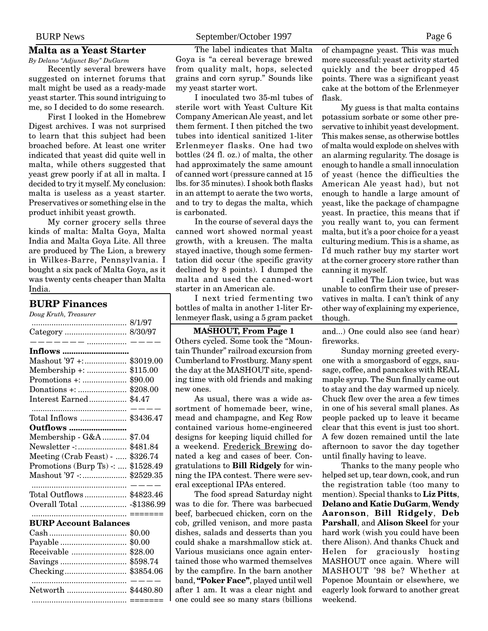## **Malta as a Yeast Starter**

*By Delano "Adjunct Boy" DuGarm* Recently several brewers have suggested on internet forums that malt might be used as a ready-made yeast starter. This sound intriguing to me, so I decided to do some research.

First I looked in the Homebrew Digest archives. I was not surprised to learn that this subject had been broached before. At least one writer indicated that yeast did quite well in malta, while others suggested that yeast grew poorly if at all in malta. I decided to try it myself. My conclusion: malta is useless as a yeast starter. Preservatives or something else in the product inhibit yeast growth.

My corner grocery sells three kinds of malta: Malta Goya, Malta India and Malta Goya Lite. All three are produced by The Lion, a brewery in Wilkes-Barre, Pennsylvania. I bought a six pack of Malta Goya, as it was twenty cents cheaper than Malta India.

#### **BURP Finances**

*Doug Kruth, Treasurer*

|                                                                                                                                                                                                                                                                                                                                                                                                                | 8/1/97      |
|----------------------------------------------------------------------------------------------------------------------------------------------------------------------------------------------------------------------------------------------------------------------------------------------------------------------------------------------------------------------------------------------------------------|-------------|
|                                                                                                                                                                                                                                                                                                                                                                                                                | 8/30/97     |
| $\frac{1}{1} - \frac{1}{1} - \frac{1}{1} - \frac{1}{1} - \frac{1}{1} - \frac{1}{1} - \frac{1}{1} - \frac{1}{1} - \frac{1}{1} - \frac{1}{1} - \frac{1}{1} - \frac{1}{1} - \frac{1}{1} - \frac{1}{1} - \frac{1}{1} - \frac{1}{1} - \frac{1}{1} - \frac{1}{1} - \frac{1}{1} - \frac{1}{1} - \frac{1}{1} - \frac{1}{1} - \frac{1}{1} - \frac{1}{1} - \frac{1}{1} - \frac{1}{1} - \frac{1}{1} - \frac{1$<br>Inflows |             |
| Mashout '97 +:                                                                                                                                                                                                                                                                                                                                                                                                 | \$3019.00   |
| Membership +:                                                                                                                                                                                                                                                                                                                                                                                                  | \$115.00    |
| Promotions +:                                                                                                                                                                                                                                                                                                                                                                                                  | \$90.00     |
|                                                                                                                                                                                                                                                                                                                                                                                                                | \$208.00    |
| Interest Earned                                                                                                                                                                                                                                                                                                                                                                                                | \$4.47      |
| Total Inflows                                                                                                                                                                                                                                                                                                                                                                                                  | \$3436.47   |
| <b>Outflows </b>                                                                                                                                                                                                                                                                                                                                                                                               |             |
| Membership - G&A                                                                                                                                                                                                                                                                                                                                                                                               | \$7.04      |
| Newsletter -:                                                                                                                                                                                                                                                                                                                                                                                                  | \$481.84    |
| Meeting (Crab Feast) -                                                                                                                                                                                                                                                                                                                                                                                         | \$326.74    |
| Promotions (Burp Ts) -:                                                                                                                                                                                                                                                                                                                                                                                        | \$1528.49   |
| Mashout '97 -:                                                                                                                                                                                                                                                                                                                                                                                                 | \$2529.35   |
| Total Outflows                                                                                                                                                                                                                                                                                                                                                                                                 | \$4823.46   |
| Overall Total                                                                                                                                                                                                                                                                                                                                                                                                  | $-$1386.99$ |
| <b>BURP Account Balances</b>                                                                                                                                                                                                                                                                                                                                                                                   | =======     |
|                                                                                                                                                                                                                                                                                                                                                                                                                | \$0.00      |
| Payable                                                                                                                                                                                                                                                                                                                                                                                                        | \$0.00      |
| Receivable                                                                                                                                                                                                                                                                                                                                                                                                     | \$28.00     |
|                                                                                                                                                                                                                                                                                                                                                                                                                | \$598.74    |
|                                                                                                                                                                                                                                                                                                                                                                                                                | \$3854.06   |
| Networth                                                                                                                                                                                                                                                                                                                                                                                                       | \$4480.80   |

........................................... =======

The label indicates that Malta Goya is "a cereal beverage brewed from quality malt, hops, selected grains and corn syrup." Sounds like my yeast starter wort.

I inoculated two 35-ml tubes of sterile wort with Yeast Culture Kit Company American Ale yeast, and let them ferment. I then pitched the two tubes into identical sanitized 1-liter Erlenmeyer flasks. One had two bottles (24 fl. oz.) of malta, the other had approximately the same amount of canned wort (pressure canned at 15 lbs. for 35 minutes). I shook both flasks in an attempt to aerate the two worts, and to try to degas the malta, which is carbonated.

In the course of several days the canned wort showed normal yeast growth, with a kreusen. The malta stayed inactive, though some fermentation did occur (the specific gravity declined by 8 points). I dumped the malta and used the canned-wort starter in an American ale.

I next tried fermenting two bottles of malta in another 1-liter Erlenmeyer flask, using a 5 gram packet

## **MASHOUT, From Page 1**

Others cycled. Some took the "Mountain Thunder" railroad excursion from Cumberland to Frostburg. Many spent the day at the MASHOUT site, spending time with old friends and making new ones.

As usual, there was a wide assortment of homemade beer, wine, mead and champagne, and Keg Row contained various home-engineered designs for keeping liquid chilled for a weekend. Frederick Brewing donated a keg and cases of beer. Congratulations to **Bill Ridgely** for winning the IPA contest. There were several exceptional IPAs entered.

The food spread Saturday night was to die for. There was barbecued beef, barbecued chicken, corn on the cob, grilled venison, and more pasta dishes, salads and desserts than you could shake a marshmallow stick at. Various musicians once again entertained those who warmed themselves by the campfire. In the barn another band, **"Poker Face"**, played until well after 1 am. It was a clear night and one could see so many stars (billions

of champagne yeast. This was much more successful: yeast activity started quickly and the beer dropped 45 points. There was a significant yeast cake at the bottom of the Erlenmeyer flask.

My guess is that malta contains potassium sorbate or some other preservative to inhibit yeast development. This makes sense, as otherwise bottles of malta would explode on shelves with an alarming regularity. The dosage is enough to handle a small innoculation of yeast (hence the difficulties the American Ale yeast had), but not enough to handle a large amount of yeast, like the package of champagne yeast. In practice, this means that if you really want to, you can ferment malta, but it's a poor choice for a yeast culturing medium. This is a shame, as I'd much rather buy my starter wort at the corner grocery store rather than canning it myself.

I called The Lion twice, but was unable to confirm their use of preservatives in malta. I can't think of any other way of explaining my experience, though.

and...) One could also see (and hear) fireworks.

Sunday morning greeted everyone with a smorgasbord of eggs, sausage, coffee, and pancakes with REAL maple syrup. The Sun finally came out to stay and the day warmed up nicely. Chuck flew over the area a few times in one of his several small planes. As people packed up to leave it became clear that this event is just too short. A few dozen remained until the late afternoon to savor the day together until finally having to leave.

Thanks to the many people who helped set up, tear down, cook, and run the registration table (too many to mention). Special thanks to **Liz Pitts**, **Delano and Katie DuGarm**, **Wendy Aaronson**, **Bill Ridgely**, **Deb Parshall**, and **Alison Skeel** for your hard work (wish you could have been there Alison). And thanks Chuck and Helen for graciously hosting MASHOUT once again. Where will MASHOUT '98 be? Whether at Popenoe Mountain or elsewhere, we eagerly look forward to another great weekend.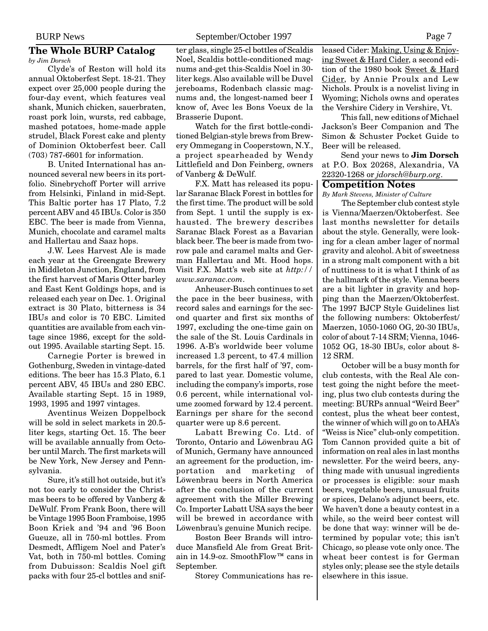#### **The Whole BURP Catalog** *by Jim Dorsch*

Clyde's of Reston will hold its annual Oktoberfest Sept. 18-21. They expect over 25,000 people during the four-day event, which features veal shank, Munich chicken, sauerbraten, roast pork loin, wursts, red cabbage, mashed potatoes, home-made apple strudel, Black Forest cake and plenty of Dominion Oktoberfest beer. Call (703) 787-6601 for information.

B. United International has announced several new beers in its portfolio. Sinebrychoff Porter will arrive from Helsinki, Finland in mid-Sept. This Baltic porter has 17 Plato, 7.2 percent ABV and 45 IBUs. Color is 350 EBC. The beer is made from Vienna, Munich, chocolate and caramel malts and Hallertau and Saaz hops.

J.W. Lees Harvest Ale is made each year at the Greengate Brewery in Middleton Junction, England, from the first harvest of Maris Otter barley and East Kent Goldings hops, and is released each year on Dec. 1. Original extract is 30 Plato, bitterness is 34 IBUs and color is 70 EBC. Limited quantities are available from each vintage since 1986, except for the soldout 1995. Available starting Sept. 15.

Carnegie Porter is brewed in Gothenburg, Sweden in vintage-dated editions. The beer has 15.3 Plato, 6.1 percent ABV, 45 IBUs and 280 EBC. Available starting Sept. 15 in 1989, 1993, 1995 and 1997 vintages.

Aventinus Weizen Doppelbock will be sold in select markets in 20.5 liter kegs, starting Oct. 15. The beer will be available annually from October until March. The first markets will be New York, New Jersey and Pennsylvania.

Sure, it's still hot outside, but it's not too early to consider the Christmas beers to be offered by Vanberg & DeWulf. From Frank Boon, there will be Vintage 1995 Boon Framboise, 1995 Boon Kriek and '94 and '96 Boon Gueuze, all in 750-ml bottles. From Desmedt, Affligem Noel and Pater's Vat, both in 750-ml bottles. Coming from Dubuisson: Scaldis Noel gift packs with four 25-cl bottles and snifter glass, single 25-cl bottles of Scaldis Noel, Scaldis bottle-conditioned magnums and-get this-Scaldis Noel in 30 liter kegs. Also available will be Duvel jereboams, Rodenbach classic magnums and, the longest-named beer I know of, Avec les Bons Voeux de la Brasserie Dupont.

Watch for the first bottle-conditioned Belgian-style brews from Brewery Ommegang in Cooperstown, N.Y., a project spearheaded by Wendy Littlefield and Don Feinberg, owners of Vanberg & DeWulf.

F.X. Matt has released its popular Saranac Black Forest in bottles for the first time. The product will be sold from Sept. 1 until the supply is exhausted. The brewery describes Saranac Black Forest as a Bavarian black beer. The beer is made from tworow pale and caramel malts and German Hallertau and Mt. Hood hops. Visit F.X. Matt's web site at *http:// www.saranac.com*.

Anheuser-Busch continues to set the pace in the beer business, with record sales and earnings for the second quarter and first six months of 1997, excluding the one-time gain on the sale of the St. Louis Cardinals in 1996. A-B's worldwide beer volume increased 1.3 percent, to 47.4 million barrels, for the first half of '97, compared to last year. Domestic volume, including the company's imports, rose 0.6 percent, while international volume zoomed forward by 12.4 percent. Earnings per share for the second quarter were up 8.6 percent.

Labatt Brewing Co. Ltd. of Toronto, Ontario and Löwenbrau AG of Munich, Germany have announced an agreement for the production, importation and marketing of Löwenbrau beers in North America after the conclusion of the current agreement with the Miller Brewing Co. Importer Labatt USA says the beer will be brewed in accordance with Löwenbrau's genuine Munich recipe.

Boston Beer Brands will introduce Mansfield Ale from Great Britain in 14.9-oz. SmoothFlow™ cans in September.

Storey Communications has re-

leased Cider: Making, Using & Enjoying Sweet & Hard Cider, a second edition of the 1980 book Sweet & Hard Cider, by Annie Proulx and Lew Nichols. Proulx is a novelist living in Wyoming; Nichols owns and operates the Vershire Cidery in Vershire, Vt.

This fall, new editions of Michael Jackson's Beer Companion and The Simon & Schuster Pocket Guide to Beer will be released.

Send your news to **Jim Dorsch** at P.O. Box 20268, Alexandria, VA 22320-1268 or *jdorsch@burp.org*.

## **Competition Notes**

*By Mark Stevens, Minister of Culture*

The September club contest style is Vienna/Maerzen/Oktoberfest. See last months newsletter for details about the style. Generally, were looking for a clean amber lager of normal gravity and alcohol. A bit of sweetness in a strong malt component with a bit of nuttiness to it is what I think of as the hallmark of the style. Vienna beers are a bit lighter in gravity and hopping than the Maerzen/Oktoberfest. The 1997 BJCP Style Guidelines list the following numbers: Oktoberfest/ Maerzen, 1050-1060 OG, 20-30 IBUs, color of about 7-14 SRM; Vienna, 1046- 1052 OG, 18-30 IBUs, color about 8- 12 SRM.

October will be a busy month for club contests, with the Real Ale contest going the night before the meeting, plus two club contests during the meeting: BURPs annual "Weird Beer" contest, plus the wheat beer contest, the winner of which will go on to AHA's "Weiss is Nice" club-only competition. Tom Cannon provided quite a bit of information on real ales in last months newsletter. For the weird beers, anything made with unusual ingredients or processes is eligible: sour mash beers, vegetable beers, unusual fruits or spices, Delano's adjunct beers, etc. We haven't done a beauty contest in a while, so the weird beer contest will be done that way: winner will be determined by popular vote; this isn't Chicago, so please vote only once. The wheat beer contest is for German styles only; please see the style details elsewhere in this issue.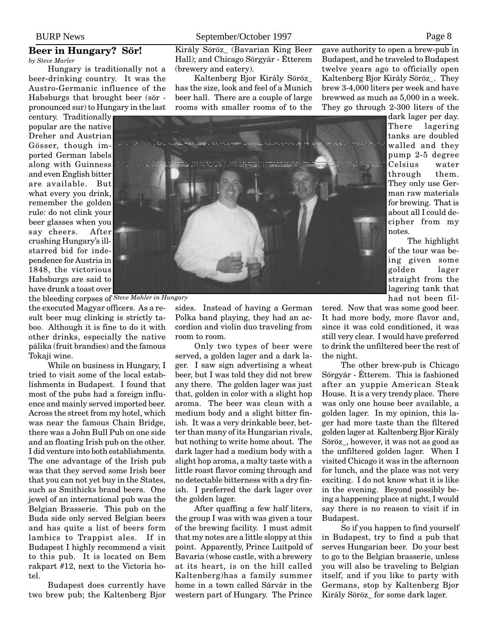# **Beer in Hungary? Sör!**

*by Steve Marler*

Hungary is traditionally not a beer-drinking country. It was the Austro-Germanic influence of the Habsburgs that brought beer (sör pronounced sur) to Hungary in the last

century. Traditionally popular are the native Dreher and Austrian Gösser, though imported German labels along with Guinness and even English bitter are available. But what every you drink, remember the golden rule: do not clink your beer glasses when you say cheers. After crushing Hungary's illstarred bid for independence for Austria in 1848, the victorious Habsburgs are said to have drunk a toast over

the bleeding corpses of *Steve Mahler in Hungary*

the executed Magyar officers. As a result beer mug clinking is strictly taboo. Although it is fine to do it with other drinks, especially the native pálika (fruit brandies) and the famous Tokaji wine.

While on business in Hungary, I tried to visit some of the local establishments in Budapest. I found that most of the pubs had a foreign influence and mainly served imported beer. Across the street from my hotel, which was near the famous Chain Bridge, there was a John Bull Pub on one side and an floating Irish pub on the other. I did venture into both establishments. The one advantage of the Irish pub was that they served some Irish beer that you can not yet buy in the States, such as Smithicks brand beers. One jewel of an international pub was the Belgian Brasserie. This pub on the Buda side only served Belgian beers and has quite a list of beers form lambics to Trappist ales. If in Budapest I highly recommend a visit to this pub. It is located on Bem rakpart #12, next to the Victoria hotel.

Budapest does currently have two brew pub; the Kaltenberg Bjor Király Söröz\_ (Bavarian King Beer Hall); and Chicago Sörgyár - Étterem (brewery and eatery).

Kaltenberg Bjor Király Söröz\_ has the size, look and feel of a Munich beer hall. There are a couple of large rooms with smaller rooms of to the

gave authority to open a brew-pub in Budapest, and he traveled to Budapest twelve years ago to officially open Kaltenberg Bjor Király Söröz\_. They brew 3-4,000 liters per week and have brewwed as much as 5,000 in a week. They go through 2-300 liters of the

> dark lager per day. There lagering tanks are doubled walled and they pump 2-5 degree Celsius water through them. They only use German raw materials for brewing. That is about all I could decipher from my notes.

The highlight of the tour was being given some golden lager straight from the lagering tank that had not been fil-

sides. Instead of having a German Polka band playing, they had an accordion and violin duo traveling from room to room.

Only two types of beer were served, a golden lager and a dark lager. I saw sign advertising a wheat beer, but I was told they did not brew any there. The golden lager was just that, golden in color with a slight hop aroma. The beer was clean with a medium body and a slight bitter finish. It was a very drinkable beer, better than many of its Hungarian rivals, but nothing to write home about. The dark lager had a medium body with a slight hop aroma, a malty taste with a little roast flavor coming through and no detectable bitterness with a dry finish. I preferred the dark lager over the golden lager.

After quaffing a few half liters, the group I was with was given a tour of the brewing facility. I must admit that my notes are a little sloppy at this point. Apparently, Prince Luitpold of Bavaria (whose castle, with a brewery at its heart, is on the hill called Kaltenberg)has a family summer home in a town called Sárvár in the western part of Hungary. The Prince

tered. Now that was some good beer. It had more body, more flavor and, since it was cold conditioned, it was still very clear. I would have preferred to drink the unfiltered beer the rest of the night.

The other brew-pub is Chicago Sörgyár - Étterem. This is fashioned after an yuppie American Steak House. It is a very trendy place. There was only one house beer available, a golden lager. In my opinion, this lager had more taste than the filtered golden lager at Kaltenberg Bjor Király Söröz\_, however, it was not as good as the unfiltered golden lager. When I visited Chicago it was in the afternoon for lunch, and the place was not very exciting. I do not know what it is like in the evening. Beyond possibly being a happening place at night, I would say there is no reason to visit if in Budapest.

So if you happen to find yourself in Budapest, try to find a pub that serves Hungarian beer. Do your best to go to the Belgian brasserie, unless you will also be traveling to Belgian itself, and if you like to party with Germans, stop by Kaltenberg Bjor Király Söröz\_ for some dark lager.